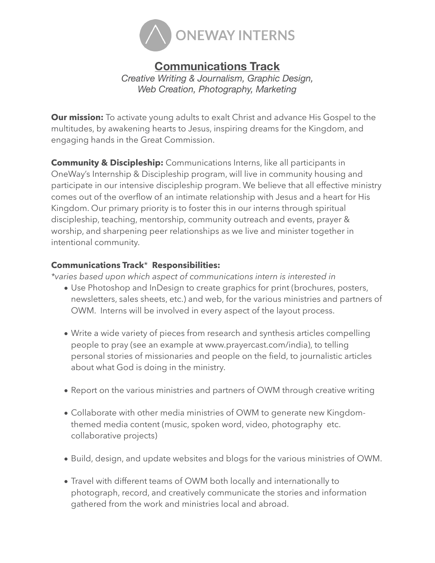

## **Communications Track**

*Creative Writing & Journalism, Graphic Design, Web Creation, Photography, Marketing* 

**Our mission:** To activate young adults to exalt Christ and advance His Gospel to the multitudes, by awakening hearts to Jesus, inspiring dreams for the Kingdom, and engaging hands in the Great Commission.

**Community & Discipleship:** Communications Interns, like all participants in OneWay's Internship & Discipleship program, will live in community housing and participate in our intensive discipleship program. We believe that all effective ministry comes out of the overflow of an intimate relationship with Jesus and a heart for His Kingdom. Our primary priority is to foster this in our interns through spiritual discipleship, teaching, mentorship, community outreach and events, prayer & worship, and sharpening peer relationships as we live and minister together in intentional community.

## **Communications Track**\* **Responsibilities:**

*\*varies based upon which aspect of communications intern is interested in* 

- Use Photoshop and InDesign to create graphics for print (brochures, posters, newsletters, sales sheets, etc.) and web, for the various ministries and partners of OWM. Interns will be involved in every aspect of the layout process.
- Write a wide variety of pieces from research and synthesis articles compelling people to pray (see an example at www.prayercast.com/india), to telling personal stories of missionaries and people on the field, to journalistic articles about what God is doing in the ministry.
- Report on the various ministries and partners of OWM through creative writing
- Collaborate with other media ministries of OWM to generate new Kingdomthemed media content (music, spoken word, video, photography etc. collaborative projects)
- Build, design, and update websites and blogs for the various ministries of OWM.
- Travel with different teams of OWM both locally and internationally to photograph, record, and creatively communicate the stories and information gathered from the work and ministries local and abroad.